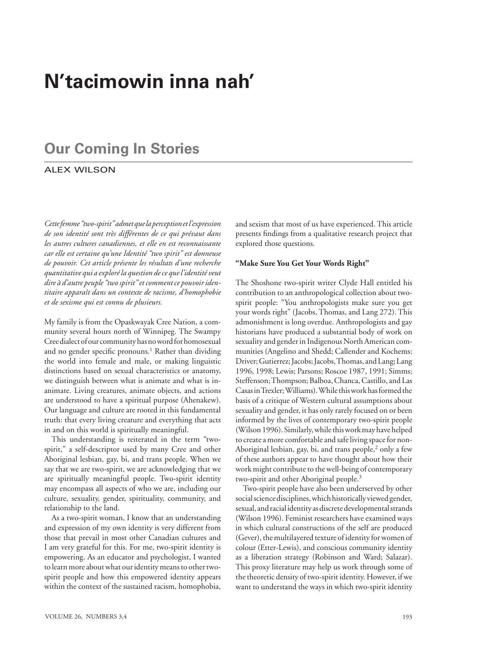# **N'tacimowin inna nah'**

# **Our Coming In Stories**

## alex wilson

*Cette femme "two-spirit" admet que la perception et l'expression de son identité sont très différentes de ce qui prévaut dans les autres cultures canadiennes, et elle en est reconnaissante car elle est certaine qu'une Identité "two spirit" est donneuse de pouvoir. Cet article présente les résultats d'une recherche quantitative qui a exploré la question de ce que l'identité veut dire à d'autre peuple "two spirit" et comment ce pouvoir identitaire apparaît dans un contexte de racisme, d'homophobie et de sexisme qui est connu de plusieurs.* 

My family is from the Opaskwayak Cree Nation, a community several hours north of Winnipeg. The Swampy Cree dialect of our community has no word for homosexual and no gender specific pronouns.<sup>1</sup> Rather than dividing the world into female and male, or making linguistic distinctions based on sexual characteristics or anatomy, we distinguish between what is animate and what is inanimate. Living creatures, animate objects, and actions are understood to have a spiritual purpose (Ahenakew). Our language and culture are rooted in this fundamental truth: that every living creature and everything that acts in and on this world is spiritually meaningful.

This understanding is reiterated in the term "twospirit," a self-descriptor used by many Cree and other Aboriginal lesbian, gay, bi, and trans people. When we say that we are two-spirit, we are acknowledging that we are spiritually meaningful people. Two-spirit identity may encompass all aspects of who we are, including our culture, sexuality, gender, spirituality, community, and relationship to the land.

As a two-spirit woman, I know that an understanding and expression of my own identity is very different from those that prevail in most other Canadian cultures and I am very grateful for this. For me, two-spirit identity is empowering. As an educator and psychologist, I wanted to learn more about what our identity means to other twospirit people and how this empowered identity appears within the context of the sustained racism, homophobia, and sexism that most of us have experienced. This article presents findings from a qualitative research project that explored those questions.

#### **"Make Sure You Get Your Words Right"**

The Shoshone two-spirit writer Clyde Hall entitled his contribution to an anthropological collection about twospirit people: "You anthropologists make sure you get your words right" (Jacobs, Thomas, and Lang 272). This admonishment is long overdue. Anthropologists and gay historians have produced a substantial body of work on sexuality and gender in Indigenous North American communities (Angelino and Shedd; Callender and Kochems; Driver; Gutierrez; Jacobs; Jacobs, Thomas, and Lang; Lang 1996, 1998; Lewis; Parsons; Roscoe 1987, 1991; Simms; Steffenson; Thompson; Balboa, Chanca, Castillo, and Las Casas in Trexler; Williams). While this work has formed the basis of a critique of Western cultural assumptions about sexuality and gender, it has only rarely focused on or been informed by the lives of contemporary two-spirit people (Wilson 1996). Similarly, while this work may have helped to create a more comfortable and safe living space for non-Aboriginal lesbian, gay, bi, and trans people,<sup>2</sup> only a few of these authors appear to have thought about how their work might contribute to the well-being of contemporary two-spirit and other Aboriginal people.3

Two-spirit people have also been underserved by other social science disciplines, which historically viewed gender, sexual, and racial identity as discrete developmental strands (Wilson 1996). Feminist researchers have examined ways in which cultural constructions of the self are produced (Gever), the multilayered texture of identity for women of colour (Etter-Lewis), and conscious community identity as a liberation strategy (Robinson and Ward; Salazar). This proxy literature may help us work through some of the theoretic density of two-spirit identity. However, if we want to understand the ways in which two-spirit identity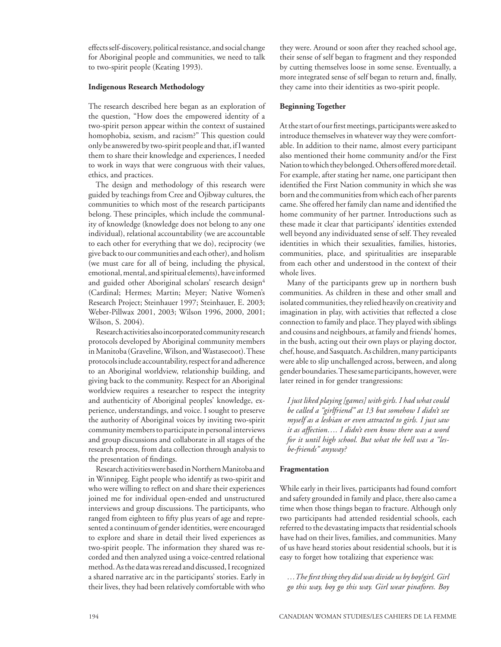effects self-discovery, political resistance, and social change for Aboriginal people and communities, we need to talk to two-spirit people (Keating 1993).

#### **Indigenous Research Methodology**

The research described here began as an exploration of the question, "How does the empowered identity of a two-spirit person appear within the context of sustained homophobia, sexism, and racism?" This question could only be answered by two-spirit people and that, if I wanted them to share their knowledge and experiences, I needed to work in ways that were congruous with their values, ethics, and practices.

The design and methodology of this research were guided by teachings from Cree and Ojibway cultures, the communities to which most of the research participants belong. These principles, which include the communality of knowledge (knowledge does not belong to any one individual), relational accountability (we are accountable to each other for everything that we do), reciprocity (we give back to our communities and each other), and holism (we must care for all of being, including the physical, emotional, mental, and spiritual elements), have informed and guided other Aboriginal scholars' research design<sup>4</sup> (Cardinal; Hermes; Martin; Meyer; Native Women's Research Project; Steinhauer 1997; Steinhauer, E. 2003; Weber-Pillwax 2001, 2003; Wilson 1996, 2000, 2001; Wilson, S. 2004).

Research activities also incorporated community research protocols developed by Aboriginal community members in Manitoba (Graveline, Wilson, and Wastasecoot). These protocols include accountability, respect for and adherence to an Aboriginal worldview, relationship building, and giving back to the community. Respect for an Aboriginal worldview requires a researcher to respect the integrity and authenticity of Aboriginal peoples' knowledge, experience, understandings, and voice. I sought to preserve the authority of Aboriginal voices by inviting two-spirit community members to participate in personal interviews and group discussions and collaborate in all stages of the research process, from data collection through analysis to the presentation of findings.

Research activities were based in Northern Manitoba and in Winnipeg. Eight people who identify as two-spirit and who were willing to reflect on and share their experiences joined me for individual open-ended and unstructured interviews and group discussions. The participants, who ranged from eighteen to fifty plus years of age and represented a continuum of gender identities, were encouraged to explore and share in detail their lived experiences as two-spirit people. The information they shared was recorded and then analyzed using a voice-centred relational method. As the data was reread and discussed, I recognized a shared narrative arc in the participants' stories. Early in their lives, they had been relatively comfortable with who

they were. Around or soon after they reached school age, their sense of self began to fragment and they responded by cutting themselves loose in some sense. Eventually, a more integrated sense of self began to return and, finally, they came into their identities as two-spirit people.

#### **Beginning Together**

At the start of our first meetings, participants were asked to introduce themselves in whatever way they were comfortable. In addition to their name, almost every participant also mentioned their home community and/or the First Nation to which they belonged. Others offered more detail. For example, after stating her name, one participant then identified the First Nation community in which she was born and the communities from which each of her parents came. She offered her family clan name and identified the home community of her partner. Introductions such as these made it clear that participants' identities extended well beyond any individuated sense of self. They revealed identities in which their sexualities, families, histories, communities, place, and spiritualities are inseparable from each other and understood in the context of their whole lives.

Many of the participants grew up in northern bush communities. As children in these and other small and isolated communities, they relied heavily on creativity and imagination in play, with activities that reflected a close connection to family and place. They played with siblings and cousins and neighbours, at family and friends' homes, in the bush, acting out their own plays or playing doctor, chef, house, and Sasquatch. As children, many participants were able to slip unchallenged across, between, and along gender boundaries. These same participants, however, were later reined in for gender trangressions:

*I just liked playing [games] with girls. I had what could be called a "girlfriend" at 13 but somehow I didn't see myself as a lesbian or even attracted to girls. I just saw it as affection…. I didn't even know there was a word for it until high school. But what the hell was a "lesbe-friends" anyway?* 

### **Fragmentation**

While early in their lives, participants had found comfort and safety grounded in family and place, there also came a time when those things began to fracture. Although only two participants had attended residential schools, each referred to the devastating impacts that residential schools have had on their lives, families, and communities. Many of us have heard stories about residential schools, but it is easy to forget how totalizing that experience was:

*…The first thing they did was divide us by boy/girl. Girl go this way, boy go this way. Girl wear pinafores. Boy*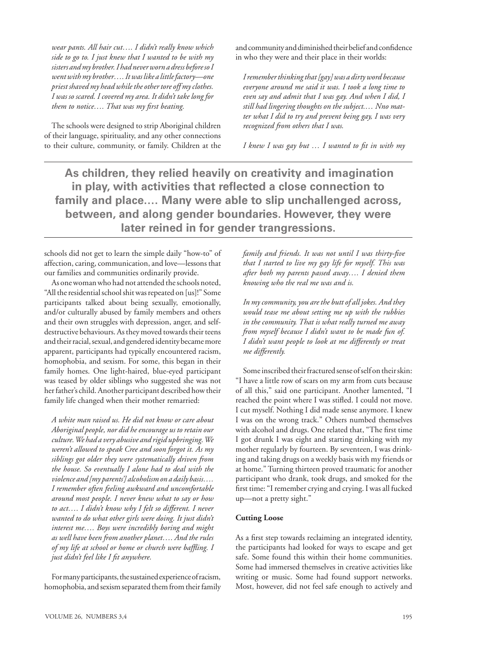*wear pants. All hair cut…. I didn't really know which side to go to. I just knew that I wanted to be with my sisters and my brother. I had never worn a dress before so I went with my brother…. It was like a little factory—one priest shaved my head while the other tore off my clothes. I was so scared. I covered my area. It didn't take long for them to notice…. That was my first beating.*

The schools were designed to strip Aboriginal children of their language, spirituality, and any other connections to their culture, community, or family. Children at the and community and diminished their belief and confidence in who they were and their place in their worlds:

*I remember thinking that [gay] was a dirty word because everyone around me said it was. I took a long time to even say and admit that I was gay. And when I did, I still had lingering thoughts on the subject.… Nno matter what I did to try and prevent being gay, I was very recognized from others that I was.* 

*I knew I was gay but … I wanted to fit in with my* 

 **As children, they relied heavily on creativity and imagination in play, with activities that reflected a close connection to family and place.… Many were able to slip unchallenged across, between, and along gender boundaries. However, they were later reined in for gender trangressions.** 

schools did not get to learn the simple daily "how-to" of affection, caring, communication, and love—lessons that our families and communities ordinarily provide.

As one woman who had not attended the schools noted, "All the residential school shit was repeated on [us]!" Some participants talked about being sexually, emotionally, and/or culturally abused by family members and others and their own struggles with depression, anger, and selfdestructive behaviours. As they moved towards their teens and their racial, sexual, and gendered identity became more apparent, participants had typically encountered racism, homophobia, and sexism. For some, this began in their family homes. One light-haired, blue-eyed participant was teased by older siblings who suggested she was not her father's child. Another participant described how their family life changed when their mother remarried:

*A white man raised us. He did not know or care about Aboriginal people, nor did he encourage us to retain our culture. We had a very abusive and rigid upbringing. We weren't allowed to speak Cree and soon forgot it. As my siblings got older they were systematically driven from the house. So eventually I alone had to deal with the violence and [my parents'] alcoholism on a daily basis…. I remember often feeling awkward and uncomfortable around most people. I never knew what to say or how to act…. I didn't know why I felt so different. I never wanted to do what other girls were doing. It just didn't interest me…. Boys were incredibly boring and might as well have been from another planet…. And the rules of my life at school or home or church were baffling. I just didn't feel like I fit anywhere.*

For many participants, the sustained experience of racism, homophobia, and sexism separated them from their family *family and friends. It was not until I was thirty-five that I started to live my gay life for myself. This was after both my parents passed away…. I denied them knowing who the real me was and is.* 

*In my community, you are the butt of all jokes. And they would tease me about setting me up with the rubbies in the community. That is what really turned me away from myself because I didn't want to be made fun of. I didn't want people to look at me differently or treat me differently.* 

Some inscribed their fractured sense of self on their skin: "I have a little row of scars on my arm from cuts because of all this," said one participant. Another lamented, "I reached the point where I was stifled. I could not move. I cut myself. Nothing I did made sense anymore. I knew I was on the wrong track." Others numbed themselves with alcohol and drugs. One related that, "The first time I got drunk I was eight and starting drinking with my mother regularly by fourteen. By seventeen, I was drinking and taking drugs on a weekly basis with my friends or at home." Turning thirteen proved traumatic for another participant who drank, took drugs, and smoked for the first time: "I remember crying and crying. I was all fucked up—not a pretty sight."

#### **Cutting Loose**

As a first step towards reclaiming an integrated identity, the participants had looked for ways to escape and get safe. Some found this within their home communities. Some had immersed themselves in creative activities like writing or music. Some had found support networks. Most, however, did not feel safe enough to actively and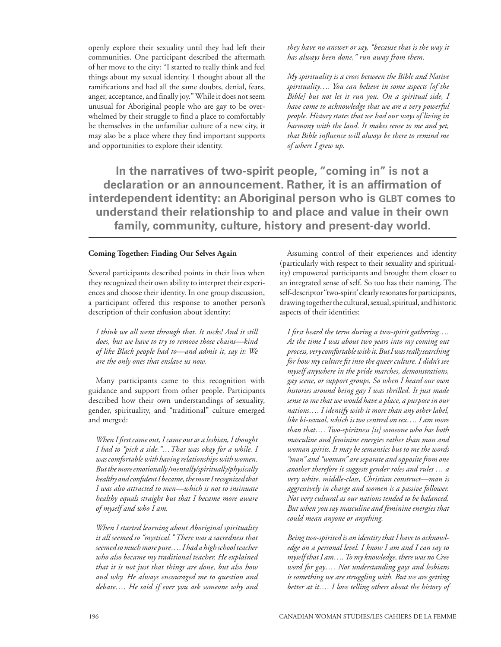openly explore their sexuality until they had left their communities. One participant described the aftermath of her move to the city: "I started to really think and feel things about my sexual identity. I thought about all the ramifications and had all the same doubts, denial, fears, anger, acceptance, and finally joy." While it does not seem unusual for Aboriginal people who are gay to be overwhelmed by their struggle to find a place to comfortably be themselves in the unfamiliar culture of a new city, it may also be a place where they find important supports and opportunities to explore their identity.

*they have no answer or say, "because that is the way it has always been done," run away from them.*

*My spirituality is a cross between the Bible and Native spirituality…. You can believe in some aspects [of the Bible] but not let it run you. On a spiritual side, I have come to acknowledge that we are a very powerful people. History states that we had our ways of living in harmony with the land. It makes sense to me and yet, that Bible influence will always be there to remind me of where I grew up.*

**In the narratives of two-spirit people, "coming in" is not a declaration or an announcement. Rather, it is an affirmation of interdependent identity: an Aboriginal person who is GLBT comes to understand their relationship to and place and value in their own family, community, culture, history and present-day world.**

#### **Coming Together: Finding Our Selves Again**

Several participants described points in their lives when they recognized their own ability to interpret their experiences and choose their identity. In one group discussion, a participant offered this response to another person's description of their confusion about identity:

*I think we all went through that. It sucks! And it still does, but we have to try to remove those chains—kind of like Black people had to—and admit it, say it: We are the only ones that enslave us now.* 

Many participants came to this recognition with guidance and support from other people. Participants described how their own understandings of sexuality, gender, spirituality, and "traditional" culture emerged and merged:

*When I first came out, I came out as a lesbian, I thought I had to "pick a side."…That was okay for a while. I was comfortable with having relationships with women. But the more emotionally /mentally/spiritually/physically healthy and confident I became, the more I recognized that I was also attracted to men—which is not to insinuate healthy equals straight but that I became more aware of myself and who I am.* 

*When I started learning about Aboriginal spirituality it all seemed so "mystical." There was a sacredness that seemed so much more pure…. I had a high school teacher who also became my traditional teacher. He explained that it is not just that things are done, but also how and why. He always encouraged me to question and debate…. He said if ever you ask someone why and* 

Assuming control of their experiences and identity (particularly with respect to their sexuality and spirituality) empowered participants and brought them closer to an integrated sense of self. So too has their naming. The self-descriptor "two-spirit' clearly resonates for participants, drawing together the cultural, sexual, spiritual, and historic aspects of their identities:

*I first heard the term during a two-spirit gathering…. At the time I was about two years into my coming out process, very comfortable with it. But I was really searching for how my culture fit into the queer culture. I didn't see myself anywhere in the pride marches, demonstrations, gay scene, or support groups. So when I heard our own histories around being gay I was thrilled. It just made sense to me that we would have a place, a purpose in our nations…. I identify with it more than any other label, like bi-sexual, which is too centred on sex…. I am more than that…. Two-spiritness [is] someone who has both masculine and feminine energies rather than man and woman spirits. It may be semantics but to me the words "man" and "woman" are separate and opposite from one another therefore it suggests gender roles and rules … a very white, middle-class, Christian construct—man is aggressively in charge and women is a passive follower. Not very cultural as our nations tended to be balanced. But when you say masculine and feminine energies that could mean anyone or anything.* 

*Being two-spirited is an identity that I have to acknowledge on a personal level. I know I am and I can say to myself that I am…. To my knowledge, there was no Cree word for gay…. Not understanding gays and lesbians is something we are struggling with. But we are getting better at it…. I love telling others about the history of*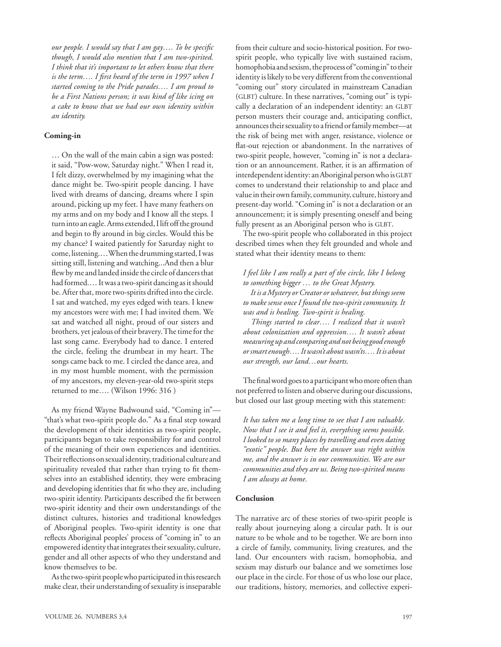*our people. I would say that I am gay…. To be specific though, I would also mention that I am two-spirited. I think that it's important to let others know that there is the term…. I first heard of the term in 1997 when I started coming to the Pride parades…. I am proud to be a First Nations person; it was kind of like icing on a cake to know that we had our own identity within an identity.*

#### **Coming-in**

… On the wall of the main cabin a sign was posted: it said, "Pow-wow, Saturday night." When I read it, I felt dizzy, overwhelmed by my imagining what the dance might be. Two-spirit people dancing. I have lived with dreams of dancing, dreams where I spin around, picking up my feet. I have many feathers on my arms and on my body and I know all the steps. I turn into an eagle. Arms extended, I lift off the ground and begin to fly around in big circles. Would this be my chance? I waited patiently for Saturday night to come, listening.…When the drumming started, I was sitting still, listening and watching...And then a blur flew by me and landed inside the circle of dancers that had formed.… It was a two-spirit dancing as it should be. After that, more two-spirits drifted into the circle. I sat and watched, my eyes edged with tears. I knew my ancestors were with me; I had invited them. We sat and watched all night, proud of our sisters and brothers, yet jealous of their bravery. The time for the last song came. Everybody had to dance. I entered the circle, feeling the drumbeat in my heart. The songs came back to me. I circled the dance area, and in my most humble moment, with the permission of my ancestors, my eleven-year-old two-spirit steps returned to me…. (Wilson 1996: 316 )

As my friend Wayne Badwound said, "Coming in"— "that's what two-spirit people do." As a final step toward the development of their identities as two-spirit people, participants began to take responsibility for and control of the meaning of their own experiences and identities. Their reflections on sexual identity, traditional culture and spirituality revealed that rather than trying to fit themselves into an established identity, they were embracing and developing identities that fit who they are, including two-spirit identity. Participants described the fit between two-spirit identity and their own understandings of the distinct cultures, histories and traditional knowledges of Aboriginal peoples. Two-spirit identity is one that reflects Aboriginal peoples' process of "coming in" to an empowered identity that integrates their sexuality, culture, gender and all other aspects of who they understand and know themselves to be.

As the two-spirit people who participated in this research make clear, their understanding of sexuality is inseparable from their culture and socio-historical position. For twospirit people, who typically live with sustained racism, homophobia and sexism, the process of "coming in" to their identity is likely to be very different from the conventional "coming out" story circulated in mainstream Canadian  $(GLBT)$  culture. In these narratives, "coming out" is typically a declaration of an independent identity: an GLBT person musters their courage and, anticipating conflict, announces their sexuality to a friend or family member—at the risk of being met with anger, resistance, violence or flat-out rejection or abandonment. In the narratives of two-spirit people, however, "coming in" is not a declaration or an announcement. Rather, it is an affirmation of interdependent identity: an Aboriginal person who is GLBT comes to understand their relationship to and place and value in their own family, community, culture, history and present-day world. "Coming in" is not a declaration or an announcement; it is simply presenting oneself and being fully present as an Aboriginal person who is GLBT.

The two-spirit people who collaborated in this project described times when they felt grounded and whole and stated what their identity means to them:

*I feel like I am really a part of the circle, like I belong to something bigger … to the Great Mystery.*

 *It is a Mystery or Creator or whatever, but things seem to make sense once I found the two-spirit community. It was and is healing. Two-spirit is healing.* 

 *Things started to clear…. I realized that it wasn't about colonization and oppression…. It wasn't about measuring up and comparing and not being good enough or smart enough…. It wasn't about wasn'ts…. It is about our strength, our land…our hearts.* 

The final word goes to a participant who more often than not preferred to listen and observe during our discussions, but closed our last group meeting with this statement:

*It has taken me a long time to see that I am valuable. Now that I see it and feel it, everything seems possible. I looked to so many places by travelling and even dating "exotic" people. But here the answer was right within me, and the answer is in our communities. We are our communities and they are us. Being two-spirited means I am always at home.*

#### **Conclusion**

The narrative arc of these stories of two-spirit people is really about journeying along a circular path. It is our nature to be whole and to be together. We are born into a circle of family, community, living creatures, and the land. Our encounters with racism, homophobia, and sexism may disturb our balance and we sometimes lose our place in the circle. For those of us who lose our place, our traditions, history, memories, and collective experi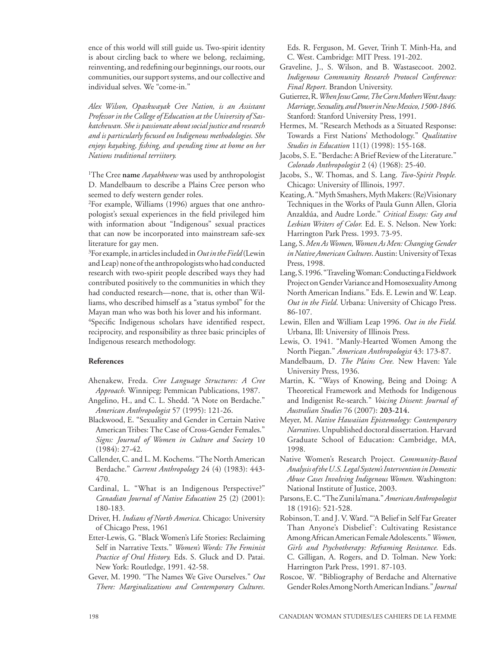ence of this world will still guide us. Two-spirit identity is about circling back to where we belong, reclaiming, reinventing, and redefining our beginnings, our roots, our communities, our support systems, and our collective and individual selves. We "come-in."

*Alex Wilson, Opaskwayak Cree Nation, is an Assistant Professor in the College of Education at the University of Saskatchewan. She is passionate about social justice and research and is particularly focused on Indigenous methodologies. She enjoys kayaking, fishing, and spending time at home on her Nations traditional terriitory.* 

1 The Cree **name** *Aayahkwew* was used by anthropologist D. Mandelbaum to describe a Plains Cree person who seemed to defy western gender roles.

2 For example, Williams (1996) argues that one anthropologist's sexual experiences in the field privileged him with information about "Indigenous" sexual practices that can now be incorporated into mainstream safe-sex literature for gay men.

3 For example, in articles included in *Out in the Field* (Lewin and Leap) none of the anthropologists who had conducted research with two-spirit people described ways they had contributed positively to the communities in which they had conducted research—none, that is, other than Williams, who described himself as a "status symbol" for the Mayan man who was both his lover and his informant. 4 Specific Indigenous scholars have identified respect, reciprocity, and responsibility as three basic principles of Indigenous research methodology.

#### **References**

- Ahenakew, Freda. *Cree Language Structures: A Cree Approach.* Winnipeg: Pemmican Publications, 1987.
- Angelino, H., and C. L. Shedd. "A Note on Berdache." *American Anthropologist* 57 (1995): 121-26.
- Blackwood, E. "Sexuality and Gender in Certain Native American Tribes: The Case of Cross-Gender Females." *Signs: Journal of Women in Culture and Society* 10 (1984): 27-42.
- Callender, C. and L. M. Kochems. "The North American Berdache." *Current Anthropology* 24 (4) (1983): 443- 470.
- Cardinal, L. "What is an Indigenous Perspective?" *Canadian Journal of Native Education* 25 (2) (2001): 180-183.
- Driver, H. *Indians of North America*. Chicago: University of Chicago Press, 1961
- Etter-Lewis, G. "Black Women's Life Stories: Reclaiming Self in Narrative Texts." *Women's Words: The Feminist Practice of Oral History.* Eds. S. Gluck and D. Patai. New York: Routledge, 1991. 42-58.
- Gever, M. 1990. "The Names We Give Ourselves." *Out There: Marginalizations and Contemporary Cultures*.

Eds. R. Ferguson, M. Gever, Trinh T. Minh-Ha, and C. West. Cambridge: MIT Press. 191-202.

- Graveline, J., S. Wilson, and B. Wastasecoot. 2002. *Indigenous Community Research Protocol Conference: Final Report*. Brandon University.
- Gutierrez, R. *When Jesus Came, The Corn Mothers Went Away: Marriage, Sexuality, and Power in New Mexico, 1500-1846.*  Stanford: Stanford University Press, 1991.
- Hermes, M. "Research Methods as a Situated Response: Towards a First Nations' Methodology." *Qualitative Studies in Education* 11(1) (1998): 155-168.
- Jacobs, S. E. "Berdache: A Brief Review of the Literature." *Colorado Anthropologist* 2 (4) (1968): 25-40.
- Jacobs, S., W. Thomas, and S. Lang. *Two-Spirit People.*  Chicago: University of Illinois, 1997.
- Keating, A. "Myth Smashers, Myth Makers: (Re)Visionary Techniques in the Works of Paula Gunn Allen, Gloria Anzaldúa, and Audre Lorde." *Critical Essays: Gay and Lesbian Writers of Color.* Ed. E. S. Nelson. New York: Harrington Park Press. 1993. 73-95.
- Lang, S. *Men As Women, Women As Men: Changing Gender in NativeAmerican Cultures*. Austin: University of Texas Press, 1998.
- Lang, S. 1996. "Traveling Woman: Conducting a Fieldwork Project on Gender Variance and Homosexuality Among North American Indians." Eds. E. Lewin and W. Leap. *Out in the Field*. Urbana: University of Chicago Press. 86-107.
- Lewin, Ellen and William Leap 1996. *Out in the Field.* Urbana, Ill: University of Illinois Press.
- Lewis, O. 1941. "Manly-Hearted Women Among the North Piegan." *American Anthropologist* 43: 173-87.
- Mandelbaum, D. *The Plains Cree.* New Haven: Yale University Press, 1936.
- Martin, K. "Ways of Knowing, Being and Doing: A Theoretical Framework and Methods for Indigenous and Indigenist Re-search*.*" *Voicing Dissent*: *Journal of Australian Studies* 76 (2007): **203-214.**
- Meyer, M. *Native Hawaiian Epistemology: Contemporary Narratives*. Unpublished doctoral dissertation. Harvard Graduate School of Education: Cambridge, MA, 1998.
- Native Women's Research Project. *Community-Based Analysis of the U.S. Legal System's Intervention in Domestic Abuse Cases Involving Indigenous Women.* Washington: National Institute of Justice, 2003.
- Parsons, E. C. "The Zuni la'mana." *American Anthropologist*  18 (1916): 521-528.
- Robinson, T. and J. V. Ward. "'A Belief in Self Far Greater Than Anyone's Disbelief': Cultivating Resistance Among African American Female Adolescents." *Women, Girls and Psychotherapy: Reframing Resistance.* Eds. C. Gilligan, A. Rogers, and D. Tolman. New York: Harrington Park Press, 1991. 87-103.
- Roscoe, W*.* "Bibliography of Berdache and Alternative Gender Roles Among North American Indians." *Journal*